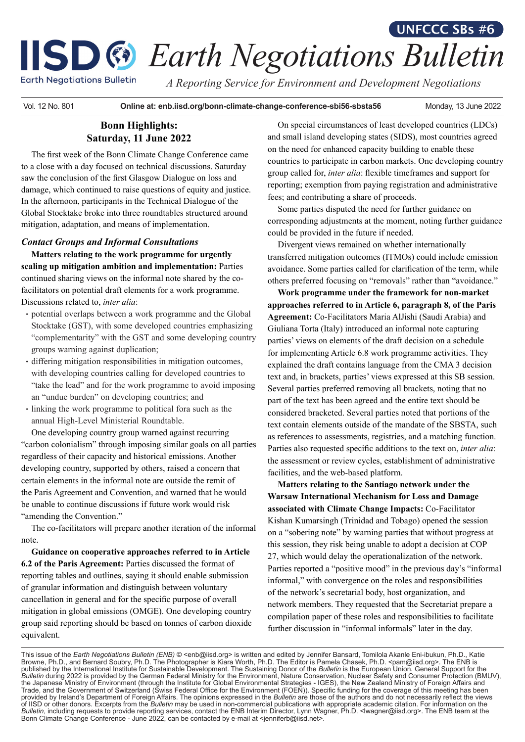# **ISD & Earth Negotiations Bulletin UNFCCC SBs #6**

**Earth Negotiations Bulletin** 

*A Reporting Service for Environment and Development Negotiations*

Vol. 12 No. 801 **Online at: [enb.iisd.org/bonn-climate-change-conference-sbi56-sbsta56](https://enb.iisd.org/bonn-climate-change-conference-sbi56-sbsta56)** Monday, 13 June 2022

# **Bonn Highlights: Saturday, 11 June 2022**

The first week of the Bonn Climate Change Conference came to a close with a day focused on technical discussions. Saturday saw the conclusion of the first Glasgow Dialogue on loss and damage, which continued to raise questions of equity and justice. In the afternoon, participants in the Technical Dialogue of the Global Stocktake broke into three roundtables structured around mitigation, adaptation, and means of implementation.

## *Contact Groups and Informal Consultations*

**Matters relating to the work programme for urgently scaling up mitigation ambition and implementation:** Parties continued sharing views on the informal note shared by the cofacilitators on potential draft elements for a work programme. Discussions related to, *inter alia*:

- •potential overlaps between a work programme and the Global Stocktake (GST), with some developed countries emphasizing "complementarity" with the GST and some developing country groups warning against duplication;
- differing mitigation responsibilities in mitigation outcomes, with developing countries calling for developed countries to "take the lead" and for the work programme to avoid imposing an "undue burden" on developing countries; and
- •linking the work programme to political fora such as the annual High-Level Ministerial Roundtable.

One developing country group warned against recurring "carbon colonialism" through imposing similar goals on all parties regardless of their capacity and historical emissions. Another developing country, supported by others, raised a concern that certain elements in the informal note are outside the remit of the Paris Agreement and Convention, and warned that he would be unable to continue discussions if future work would risk "amending the Convention."

The co-facilitators will prepare another iteration of the informal note.

**Guidance on cooperative approaches referred to in Article 6.2 of the Paris Agreement:** Parties discussed the format of reporting tables and outlines, saying it should enable submission of granular information and distinguish between voluntary cancellation in general and for the specific purpose of overall mitigation in global emissions (OMGE). One developing country group said reporting should be based on tonnes of carbon dioxide equivalent.

On special circumstances of least developed countries (LDCs) and small island developing states (SIDS), most countries agreed on the need for enhanced capacity building to enable these countries to participate in carbon markets. One developing country group called for, *inter alia*: flexible timeframes and support for reporting; exemption from paying registration and administrative fees; and contributing a share of proceeds.

Some parties disputed the need for further guidance on corresponding adjustments at the moment, noting further guidance could be provided in the future if needed.

Divergent views remained on whether internationally transferred mitigation outcomes (ITMOs) could include emission avoidance. Some parties called for clarification of the term, while others preferred focusing on "removals" rather than "avoidance."

**Work programme under the framework for non-market approaches referred to in Article 6, paragraph 8, of the Paris Agreement:** Co-Facilitators Maria AlJishi (Saudi Arabia) and Giuliana Torta (Italy) introduced an informal note capturing parties' views on elements of the draft decision on a schedule for implementing Article 6.8 work programme activities. They explained the draft contains language from the CMA 3 decision text and, in brackets, parties' views expressed at this SB session. Several parties preferred removing all brackets, noting that no part of the text has been agreed and the entire text should be considered bracketed. Several parties noted that portions of the text contain elements outside of the mandate of the SBSTA, such as references to assessments, registries, and a matching function. Parties also requested specific additions to the text on, *inter alia*: the assessment or review cycles, establishment of administrative facilities, and the web-based platform.

**Matters relating to the Santiago network under the Warsaw International Mechanism for Loss and Damage associated with Climate Change Impacts:** Co-Facilitator Kishan Kumarsingh (Trinidad and Tobago) opened the session on a "sobering note" by warning parties that without progress at this session, they risk being unable to adopt a decision at COP 27, which would delay the operationalization of the network. Parties reported a "positive mood" in the previous day's "informal informal," with convergence on the roles and responsibilities of the network's secretarial body, host organization, and network members. They requested that the Secretariat prepare a compilation paper of these roles and responsibilities to facilitate further discussion in "informal informals" later in the day.

This issue of the *Earth Negotiations Bulletin (ENB)* © <enb@iisd.org> is written and edited by Jennifer Bansard, Tomilola Akanle Eni-ibukun, Ph.D., Katie Browne, Ph.D., and Bernard Soubry, Ph.D. The Photographer is Kiara Worth, Ph.D. The Editor is Pamela Chasek, Ph.D. <pam@iisd.org>. The ENB is published by the International Institute for Sustainable Development. The Sustaining Donor of the *Bulletin* is the European Union. General Support for the *Bulletin* during 2022 is provided by the German Federal Ministry for the Environment, Nature Conservation, Nuclear Safety and Consumer Protection (BMUV), the Japanese Ministry of Environment (through the Institute for Global Environmental Strategies - IGES), the New Zealand Ministry of Foreign Affairs and<br>Trade, and the Government of Switzerland (Swiss Federal Office for th provided by Ireland's Department of Foreign Affairs. The opinions expressed in the *Bulletin* are those of the authors and do not necessarily reflect the views of IISD or other donors. Excerpts from the *Bulletin* may be used in non-commercial publications with appropriate academic citation. For information on the *Bulletin*, including requests to provide reporting services, contact the ENB Interim Director, Lynn Wagner, Ph.D. <lwagner@iisd.org>. The ENB team at the Bonn Climate Change Conference - June 2022, can be contacted by e-mail at <jenniferb@iisd.net>.